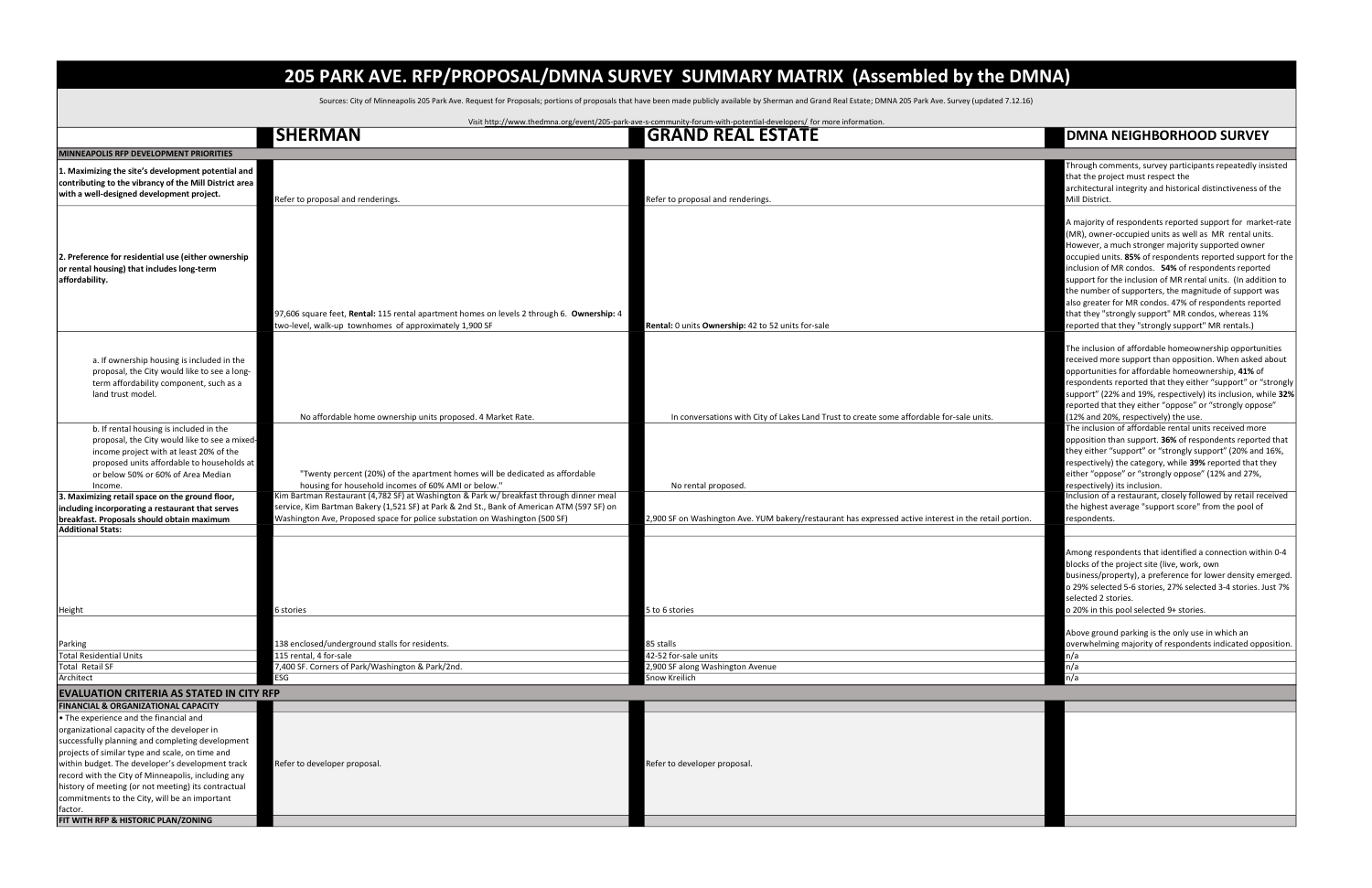|         | <b>DMNA NEIGHBORHOOD SURVEY</b>                                                                                                                                                                                                                                                                                                                                                                                                                                                                                                                                                                    |
|---------|----------------------------------------------------------------------------------------------------------------------------------------------------------------------------------------------------------------------------------------------------------------------------------------------------------------------------------------------------------------------------------------------------------------------------------------------------------------------------------------------------------------------------------------------------------------------------------------------------|
|         |                                                                                                                                                                                                                                                                                                                                                                                                                                                                                                                                                                                                    |
|         | Through comments, survey participants repeatedly insisted<br>that the project must respect the                                                                                                                                                                                                                                                                                                                                                                                                                                                                                                     |
|         | architectural integrity and historical distinctiveness of the                                                                                                                                                                                                                                                                                                                                                                                                                                                                                                                                      |
|         | Mill District.                                                                                                                                                                                                                                                                                                                                                                                                                                                                                                                                                                                     |
|         | A majority of respondents reported support for market-rate<br>(MR), owner-occupied units as well as MR rental units.<br>However, a much stronger majority supported owner<br>occupied units. 85% of respondents reported support for the<br>inclusion of MR condos. 54% of respondents reported<br>support for the inclusion of MR rental units. (In addition to<br>the number of supporters, the magnitude of support was<br>also greater for MR condos. 47% of respondents reported<br>that they "strongly support" MR condos, whereas 11%<br>reported that they "strongly support" MR rentals.) |
|         | The inclusion of affordable homeownership opportunities<br>received more support than opposition. When asked about<br>opportunities for affordable homeownership, 41% of<br>respondents reported that they either "support" or "strongly<br>support" (22% and 19%, respectively) its inclusion, while 32%<br>reported that they either "oppose" or "strongly oppose"<br>(12% and 20%, respectively) the use.                                                                                                                                                                                       |
|         | The inclusion of affordable rental units received more<br>opposition than support. 36% of respondents reported that<br>they either "support" or "strongly support" (20% and 16%,<br>respectively) the category, while 39% reported that they<br>either "oppose" or "strongly oppose" (12% and 27%,<br>respectively) its inclusion.                                                                                                                                                                                                                                                                 |
| ortion. | Inclusion of a restaurant, closely followed by retail received<br>the highest average "support score" from the pool of<br>respondents.                                                                                                                                                                                                                                                                                                                                                                                                                                                             |
|         |                                                                                                                                                                                                                                                                                                                                                                                                                                                                                                                                                                                                    |
|         | Among respondents that identified a connection within 0-4<br>blocks of the project site (live, work, own<br>business/property), a preference for lower density emerged.<br>o 29% selected 5-6 stories, 27% selected 3-4 stories. Just 7%<br>selected 2 stories.<br>o 20% in this pool selected 9+ stories.                                                                                                                                                                                                                                                                                         |
|         | Above ground parking is the only use in which an<br>overwhelming majority of respondents indicated opposition.<br>n/a                                                                                                                                                                                                                                                                                                                                                                                                                                                                              |
|         | n/a                                                                                                                                                                                                                                                                                                                                                                                                                                                                                                                                                                                                |
|         | n/a                                                                                                                                                                                                                                                                                                                                                                                                                                                                                                                                                                                                |
|         |                                                                                                                                                                                                                                                                                                                                                                                                                                                                                                                                                                                                    |
|         |                                                                                                                                                                                                                                                                                                                                                                                                                                                                                                                                                                                                    |
|         |                                                                                                                                                                                                                                                                                                                                                                                                                                                                                                                                                                                                    |

|                                                                                                                                                                                                                                                                                                                                                                                                                                                                                                                    | <b>SHERMAN</b>                                                                                                                                                                                                                                                       | Visit http://www.thedmna.org/event/205-park-ave-s-community-forum-with-potential-developers/ for more information.<br><b>GRAND REAL ESTATE</b> | <b>DMNA NEIGHBORHOOD SURVEY</b>                                                                                                                                                                                                                                                                                                                                                                                                                                                                                                                                               |
|--------------------------------------------------------------------------------------------------------------------------------------------------------------------------------------------------------------------------------------------------------------------------------------------------------------------------------------------------------------------------------------------------------------------------------------------------------------------------------------------------------------------|----------------------------------------------------------------------------------------------------------------------------------------------------------------------------------------------------------------------------------------------------------------------|------------------------------------------------------------------------------------------------------------------------------------------------|-------------------------------------------------------------------------------------------------------------------------------------------------------------------------------------------------------------------------------------------------------------------------------------------------------------------------------------------------------------------------------------------------------------------------------------------------------------------------------------------------------------------------------------------------------------------------------|
| MINNEAPOLIS RFP DEVELOPMENT PRIORITIES                                                                                                                                                                                                                                                                                                                                                                                                                                                                             |                                                                                                                                                                                                                                                                      |                                                                                                                                                |                                                                                                                                                                                                                                                                                                                                                                                                                                                                                                                                                                               |
| 1. Maximizing the site's development potential and<br>contributing to the vibrancy of the Mill District area<br>with a well-designed development project.                                                                                                                                                                                                                                                                                                                                                          | Refer to proposal and renderings.                                                                                                                                                                                                                                    | Refer to proposal and renderings                                                                                                               | Through comments, survey participants repeatedly insi<br>that the project must respect the<br>architectural integrity and historical distinctiveness of t<br>Mill District.                                                                                                                                                                                                                                                                                                                                                                                                   |
| 2. Preference for residential use (either ownership<br>or rental housing) that includes long-term<br>affordability.                                                                                                                                                                                                                                                                                                                                                                                                | 97,606 square feet, Rental: 115 rental apartment homes on levels 2 through 6. Ownership: 4<br>two-level, walk-up townhomes of approximately 1,900 SF                                                                                                                 | Rental: 0 units Ownership: 42 to 52 units for-sale                                                                                             | A majority of respondents reported support for marke<br>(MR), owner-occupied units as well as MR rental units<br>However, a much stronger majority supported owner<br>occupied units. 85% of respondents reported support f<br>inclusion of MR condos. 54% of respondents reported<br>support for the inclusion of MR rental units. (In additic<br>the number of supporters, the magnitude of support w<br>also greater for MR condos. 47% of respondents report<br>that they "strongly support" MR condos, whereas 11%<br>reported that they "strongly support" MR rentals.) |
| a. If ownership housing is included in the<br>proposal, the City would like to see a long-<br>term affordability component, such as a<br>land trust model.                                                                                                                                                                                                                                                                                                                                                         | No affordable home ownership units proposed. 4 Market Rate.                                                                                                                                                                                                          | In conversations with City of Lakes Land Trust to create some affordable for-sale units.                                                       | The inclusion of affordable homeownership opportunit<br>received more support than opposition. When asked al<br>opportunities for affordable homeownership, 41% of<br>respondents reported that they either "support" or "st<br>support" (22% and 19%, respectively) its inclusion, whil<br>reported that they either "oppose" or "strongly oppose<br>(12% and 20%, respectively) the use.                                                                                                                                                                                    |
| b. If rental housing is included in the<br>proposal, the City would like to see a mixed-<br>income project with at least 20% of the<br>proposed units affordable to households at<br>or below 50% or 60% of Area Median<br>Income.                                                                                                                                                                                                                                                                                 | "Twenty percent (20%) of the apartment homes will be dedicated as affordable<br>housing for household incomes of 60% AMI or below."                                                                                                                                  | No rental proposed.                                                                                                                            | The inclusion of affordable rental units received more<br>opposition than support. 36% of respondents reported<br>they either "support" or "strongly support" (20% and 1<br>respectively) the category, while 39% reported that the<br>either "oppose" or "strongly oppose" (12% and 27%,<br>respectively) its inclusion.                                                                                                                                                                                                                                                     |
| 3. Maximizing retail space on the ground floor,<br>including incorporating a restaurant that serves<br>breakfast. Proposals should obtain maximum<br><b>Additional Stats:</b>                                                                                                                                                                                                                                                                                                                                      | Kim Bartman Restaurant (4,782 SF) at Washington & Park w/ breakfast through dinner meal<br>service, Kim Bartman Bakery (1,521 SF) at Park & 2nd St., Bank of American ATM (597 SF) on<br>Washington Ave, Proposed space for police substation on Washington (500 SF) | 2,900 SF on Washington Ave. YUM bakery/restaurant has expressed active interest in the retail portion.                                         | Inclusion of a restaurant, closely followed by retail rece<br>the highest average "support score" from the pool of<br>respondents.                                                                                                                                                                                                                                                                                                                                                                                                                                            |
| Height                                                                                                                                                                                                                                                                                                                                                                                                                                                                                                             | 5 stories                                                                                                                                                                                                                                                            | 5 to 6 stories                                                                                                                                 | Among respondents that identified a connection withir<br>blocks of the project site (live, work, own<br>business/property), a preference for lower density eme<br>o 29% selected 5-6 stories, 27% selected 3-4 stories. Ju:<br>selected 2 stories.<br>o 20% in this pool selected 9+ stories.                                                                                                                                                                                                                                                                                 |
| Parking<br><b>Total Residential Units</b>                                                                                                                                                                                                                                                                                                                                                                                                                                                                          | 138 enclosed/underground stalls for residents.<br>115 rental, 4 for-sale                                                                                                                                                                                             | 85 stalls<br>42-52 for-sale units                                                                                                              | Above ground parking is the only use in which an<br>overwhelming majority of respondents indicated oppo:<br>n/a                                                                                                                                                                                                                                                                                                                                                                                                                                                               |
| Total Retail SF                                                                                                                                                                                                                                                                                                                                                                                                                                                                                                    | 7,400 SF. Corners of Park/Washington & Park/2nd.                                                                                                                                                                                                                     | 2,900 SF along Washington Avenue                                                                                                               | n/a                                                                                                                                                                                                                                                                                                                                                                                                                                                                                                                                                                           |
| Architect                                                                                                                                                                                                                                                                                                                                                                                                                                                                                                          | ESG                                                                                                                                                                                                                                                                  | Snow Kreilich                                                                                                                                  | n/a                                                                                                                                                                                                                                                                                                                                                                                                                                                                                                                                                                           |
| <b>EVALUATION CRITERIA AS STATED IN CITY RFP</b>                                                                                                                                                                                                                                                                                                                                                                                                                                                                   |                                                                                                                                                                                                                                                                      |                                                                                                                                                |                                                                                                                                                                                                                                                                                                                                                                                                                                                                                                                                                                               |
| <b>FINANCIAL &amp; ORGANIZATIONAL CAPACITY</b><br>• The experience and the financial and<br>organizational capacity of the developer in<br>successfully planning and completing development<br>projects of similar type and scale, on time and<br>within budget. The developer's development track<br>record with the City of Minneapolis, including any<br>history of meeting (or not meeting) its contractual<br>commitments to the City, will be an important<br>factor.<br>FIT WITH RFP & HISTORIC PLAN/ZONING | Refer to developer proposal.                                                                                                                                                                                                                                         | Refer to developer proposal.                                                                                                                   |                                                                                                                                                                                                                                                                                                                                                                                                                                                                                                                                                                               |

## 205 PARK AVE. RFP/PROPOSAL/DMNA SURVEY SUMMARY MATRIX (Assembled by the DMNA)

Sources: City of Minneapolis 205 Park Ave. Request for Proposals; portions of proposals that have been made publicly available by Sherman and Grand Real Estate; DMNA 205 Park Ave. Survey (updated 7.12.16)

| Visit http://www.thedmna.org/event/205-park-ave-s-community-forum-with-potential-developers/ for more information |  |  |  |
|-------------------------------------------------------------------------------------------------------------------|--|--|--|
|                                                                                                                   |  |  |  |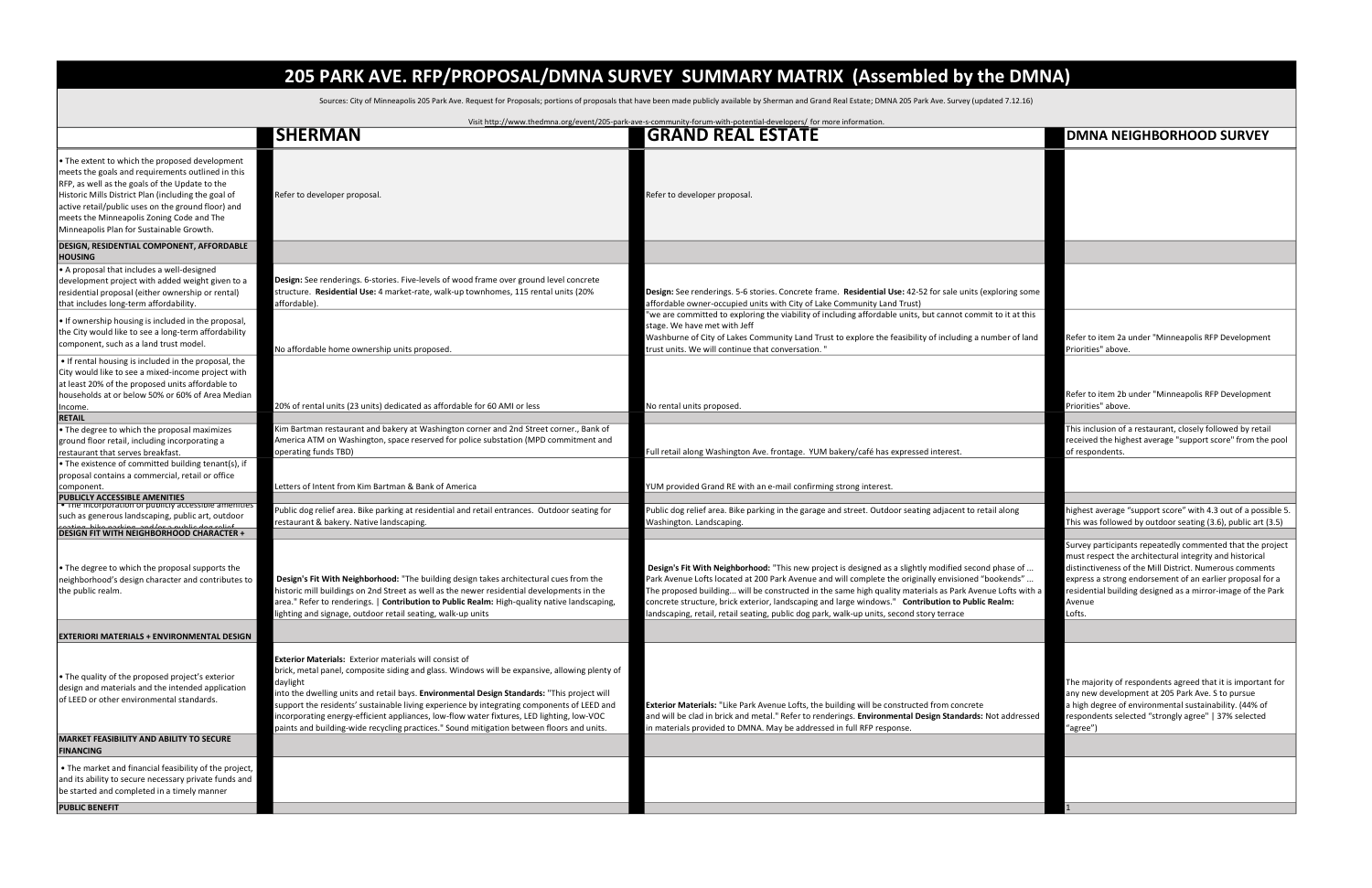## 205 PARK AVE. RFP/PROPOSAL/DMNA SURVEY SUMMARY MATRIX (Assembled by the DMNA)

Sources: City of Minneapolis 205 Park Ave. Request for Proposals; portions of proposals that have been made publicly available by Sherman and Grand Real Estate; DMNA 205 Park Ave. Survey (updated 7.12.16)

| <b>GRAND REAL ESTATE</b><br><b>SHERMAN</b><br>$\cdot$ The extent to which the proposed development<br>meets the goals and requirements outlined in this<br>RFP, as well as the goals of the Update to the<br>Historic Mills District Plan (including the goal of<br>Refer to developer proposal.<br>Refer to developer proposal.<br>active retail/public uses on the ground floor) and<br>meets the Minneapolis Zoning Code and The<br>Minneapolis Plan for Sustainable Growth.<br><b>DESIGN, RESIDENTIAL COMPONENT, AFFORDABLE</b><br><b>HOUSING</b><br>A proposal that includes a well-designed<br>Design: See renderings. 6-stories. Five-levels of wood frame over ground level concrete<br>development project with added weight given to a<br>structure. Residential Use: 4 market-rate, walk-up townhomes, 115 rental units (20%<br>residential proposal (either ownership or rental)<br>Design: See renderings. 5-6 stories. Concrete frame. Residential Use: 42-52 for sale units (exploring some<br>affordable).<br>affordable owner-occupied units with City of Lake Community Land Trust)<br>that includes long-term affordability.<br>we are committed to exploring the viability of including affordable units, but cannot commit to it at this<br>$\cdot$ If ownership housing is included in the proposal,<br>stage. We have met with Jeff<br>the City would like to see a long-term affordability<br>Washburne of City of Lakes Community Land Trust to explore the feasibility of including a number of land<br>component, such as a land trust model.<br>No affordable home ownership units proposed.<br>trust units. We will continue that conversation. "<br>. If rental housing is included in the proposal, the<br>City would like to see a mixed-income project with<br>at least 20% of the proposed units affordable to<br>households at or below 50% or 60% of Area Median<br>20% of rental units (23 units) dedicated as affordable for 60 AMI or less<br>No rental units proposed<br>Income.<br><b>RETAIL</b><br>Kim Bartman restaurant and bakery at Washington corner and 2nd Street corner., Bank of<br>$\cdot$ The degree to which the proposal maximizes<br>America ATM on Washington, space reserved for police substation (MPD commitment and<br>ground floor retail, including incorporating a<br>Full retail along Washington Ave. frontage. YUM bakery/café has expressed interest.<br>restaurant that serves breakfast.<br>operating funds TBD)<br>$\cdot$ The existence of committed building tenant(s), if<br>proposal contains a commercial, retail or office | <b>DMNA NEIGHBORHOOD SURVEY</b>                                                                                                                                                                                                                                                                                                |
|---------------------------------------------------------------------------------------------------------------------------------------------------------------------------------------------------------------------------------------------------------------------------------------------------------------------------------------------------------------------------------------------------------------------------------------------------------------------------------------------------------------------------------------------------------------------------------------------------------------------------------------------------------------------------------------------------------------------------------------------------------------------------------------------------------------------------------------------------------------------------------------------------------------------------------------------------------------------------------------------------------------------------------------------------------------------------------------------------------------------------------------------------------------------------------------------------------------------------------------------------------------------------------------------------------------------------------------------------------------------------------------------------------------------------------------------------------------------------------------------------------------------------------------------------------------------------------------------------------------------------------------------------------------------------------------------------------------------------------------------------------------------------------------------------------------------------------------------------------------------------------------------------------------------------------------------------------------------------------------------------------------------------------------------------------------------------------------------------------------------------------------------------------------------------------------------------------------------------------------------------------------------------------------------------------------------------------------------------------------------------------------------------------------------------------------------------------------------------------------------------------------------------------------------------------------------------------------------------------|--------------------------------------------------------------------------------------------------------------------------------------------------------------------------------------------------------------------------------------------------------------------------------------------------------------------------------|
|                                                                                                                                                                                                                                                                                                                                                                                                                                                                                                                                                                                                                                                                                                                                                                                                                                                                                                                                                                                                                                                                                                                                                                                                                                                                                                                                                                                                                                                                                                                                                                                                                                                                                                                                                                                                                                                                                                                                                                                                                                                                                                                                                                                                                                                                                                                                                                                                                                                                                                                                                                                                         |                                                                                                                                                                                                                                                                                                                                |
|                                                                                                                                                                                                                                                                                                                                                                                                                                                                                                                                                                                                                                                                                                                                                                                                                                                                                                                                                                                                                                                                                                                                                                                                                                                                                                                                                                                                                                                                                                                                                                                                                                                                                                                                                                                                                                                                                                                                                                                                                                                                                                                                                                                                                                                                                                                                                                                                                                                                                                                                                                                                         |                                                                                                                                                                                                                                                                                                                                |
|                                                                                                                                                                                                                                                                                                                                                                                                                                                                                                                                                                                                                                                                                                                                                                                                                                                                                                                                                                                                                                                                                                                                                                                                                                                                                                                                                                                                                                                                                                                                                                                                                                                                                                                                                                                                                                                                                                                                                                                                                                                                                                                                                                                                                                                                                                                                                                                                                                                                                                                                                                                                         |                                                                                                                                                                                                                                                                                                                                |
|                                                                                                                                                                                                                                                                                                                                                                                                                                                                                                                                                                                                                                                                                                                                                                                                                                                                                                                                                                                                                                                                                                                                                                                                                                                                                                                                                                                                                                                                                                                                                                                                                                                                                                                                                                                                                                                                                                                                                                                                                                                                                                                                                                                                                                                                                                                                                                                                                                                                                                                                                                                                         |                                                                                                                                                                                                                                                                                                                                |
|                                                                                                                                                                                                                                                                                                                                                                                                                                                                                                                                                                                                                                                                                                                                                                                                                                                                                                                                                                                                                                                                                                                                                                                                                                                                                                                                                                                                                                                                                                                                                                                                                                                                                                                                                                                                                                                                                                                                                                                                                                                                                                                                                                                                                                                                                                                                                                                                                                                                                                                                                                                                         | Refer to item 2a under "Minneapolis RFP Development<br>Priorities" above.                                                                                                                                                                                                                                                      |
|                                                                                                                                                                                                                                                                                                                                                                                                                                                                                                                                                                                                                                                                                                                                                                                                                                                                                                                                                                                                                                                                                                                                                                                                                                                                                                                                                                                                                                                                                                                                                                                                                                                                                                                                                                                                                                                                                                                                                                                                                                                                                                                                                                                                                                                                                                                                                                                                                                                                                                                                                                                                         | Refer to item 2b under "Minneapolis RFP Development<br>Priorities" above.                                                                                                                                                                                                                                                      |
|                                                                                                                                                                                                                                                                                                                                                                                                                                                                                                                                                                                                                                                                                                                                                                                                                                                                                                                                                                                                                                                                                                                                                                                                                                                                                                                                                                                                                                                                                                                                                                                                                                                                                                                                                                                                                                                                                                                                                                                                                                                                                                                                                                                                                                                                                                                                                                                                                                                                                                                                                                                                         |                                                                                                                                                                                                                                                                                                                                |
|                                                                                                                                                                                                                                                                                                                                                                                                                                                                                                                                                                                                                                                                                                                                                                                                                                                                                                                                                                                                                                                                                                                                                                                                                                                                                                                                                                                                                                                                                                                                                                                                                                                                                                                                                                                                                                                                                                                                                                                                                                                                                                                                                                                                                                                                                                                                                                                                                                                                                                                                                                                                         | This inclusion of a restaurant, closely followed by retail<br>received the highest average "support score" from the pool<br>of respondents.                                                                                                                                                                                    |
|                                                                                                                                                                                                                                                                                                                                                                                                                                                                                                                                                                                                                                                                                                                                                                                                                                                                                                                                                                                                                                                                                                                                                                                                                                                                                                                                                                                                                                                                                                                                                                                                                                                                                                                                                                                                                                                                                                                                                                                                                                                                                                                                                                                                                                                                                                                                                                                                                                                                                                                                                                                                         |                                                                                                                                                                                                                                                                                                                                |
| Letters of Intent from Kim Bartman & Bank of America<br>'UM provided Grand RE with an e-mail confirming strong interest.<br>component.<br>PUBLICLY ACCESSIBLE AMENITIES                                                                                                                                                                                                                                                                                                                                                                                                                                                                                                                                                                                                                                                                                                                                                                                                                                                                                                                                                                                                                                                                                                                                                                                                                                                                                                                                                                                                                                                                                                                                                                                                                                                                                                                                                                                                                                                                                                                                                                                                                                                                                                                                                                                                                                                                                                                                                                                                                                 |                                                                                                                                                                                                                                                                                                                                |
| $\bullet$ The incorporation or publicly accessible amenities<br>Public dog relief area. Bike parking at residential and retail entrances. Outdoor seating for<br>Public dog relief area. Bike parking in the garage and street. Outdoor seating adjacent to retail along<br>such as generous landscaping, public art, outdoor<br>restaurant & bakery. Native landscaping.<br>Washington. Landscaping.                                                                                                                                                                                                                                                                                                                                                                                                                                                                                                                                                                                                                                                                                                                                                                                                                                                                                                                                                                                                                                                                                                                                                                                                                                                                                                                                                                                                                                                                                                                                                                                                                                                                                                                                                                                                                                                                                                                                                                                                                                                                                                                                                                                                   | highest average "support score" with 4.3 out of a possible 5.<br>This was followed by outdoor seating (3.6), public art (3.5)                                                                                                                                                                                                  |
| <u>aating hika narking and/or a nuhlie dog roliaf</u><br>DESIGN FIT WITH NEIGHBORHOOD CHARACTER +                                                                                                                                                                                                                                                                                                                                                                                                                                                                                                                                                                                                                                                                                                                                                                                                                                                                                                                                                                                                                                                                                                                                                                                                                                                                                                                                                                                                                                                                                                                                                                                                                                                                                                                                                                                                                                                                                                                                                                                                                                                                                                                                                                                                                                                                                                                                                                                                                                                                                                       |                                                                                                                                                                                                                                                                                                                                |
| Design's Fit With Neighborhood: "This new project is designed as a slightly modified second phase of<br>$\cdot$ The degree to which the proposal supports the<br>Design's Fit With Neighborhood: "The building design takes architectural cues from the<br>"Park Avenue Lofts located at 200 Park Avenue and will complete the originally envisioned "bookends<br>neighborhood's design character and contributes to<br>historic mill buildings on 2nd Street as well as the newer residential developments in the<br>The proposed building will be constructed in the same high quality materials as Park Avenue Lofts with a<br>the public realm.<br>area." Refer to renderings.   <b>Contribution to Public Realm:</b> High-quality native landscaping,<br>concrete structure, brick exterior, landscaping and large windows." Contribution to Public Realm:<br>andscaping, retail, retail seating, public dog park, walk-up units, second story terrace<br>ghting and signage, outdoor retail seating, walk-up units                                                                                                                                                                                                                                                                                                                                                                                                                                                                                                                                                                                                                                                                                                                                                                                                                                                                                                                                                                                                                                                                                                                                                                                                                                                                                                                                                                                                                                                                                                                                                                                | Survey participants repeatedly commented that the project<br>must respect the architectural integrity and historical<br>distinctiveness of the Mill District. Numerous comments<br>express a strong endorsement of an earlier proposal for a<br>residential building designed as a mirror-image of the Park<br>Avenue<br>ofts. |
| <b>EXTERIORI MATERIALS + ENVIRONMENTAL DESIGN</b>                                                                                                                                                                                                                                                                                                                                                                                                                                                                                                                                                                                                                                                                                                                                                                                                                                                                                                                                                                                                                                                                                                                                                                                                                                                                                                                                                                                                                                                                                                                                                                                                                                                                                                                                                                                                                                                                                                                                                                                                                                                                                                                                                                                                                                                                                                                                                                                                                                                                                                                                                       |                                                                                                                                                                                                                                                                                                                                |
| <b>Exterior Materials: Exterior materials will consist of</b><br>brick, metal panel, composite siding and glass. Windows will be expansive, allowing plenty of<br>$\cdot$ The quality of the proposed project's exterior<br>daylight<br>design and materials and the intended application<br>into the dwelling units and retail bays. Environmental Design Standards: "This project will<br>lof LEED or other environmental standards.<br>support the residents' sustainable living experience by integrating components of LEED and<br>Exterior Materials: "Like Park Avenue Lofts, the building will be constructed from concrete<br>incorporating energy-efficient appliances, low-flow water fixtures, LED lighting, low-VOC<br>and will be clad in brick and metal." Refer to renderings. Environmental Design Standards: Not addressed<br>paints and building-wide recycling practices." Sound mitigation between floors and units.<br>in materials provided to DMNA. May be addressed in full RFP response.                                                                                                                                                                                                                                                                                                                                                                                                                                                                                                                                                                                                                                                                                                                                                                                                                                                                                                                                                                                                                                                                                                                                                                                                                                                                                                                                                                                                                                                                                                                                                                                      | The majority of respondents agreed that it is important for<br>any new development at 205 Park Ave. S to pursue<br>a high degree of environmental sustainability. (44% of<br>respondents selected "strongly agree"   37% selected<br>"agree")                                                                                  |
| <b>MARKET FEASIBILITY AND ABILITY TO SECURE</b><br><b>FINANCING</b>                                                                                                                                                                                                                                                                                                                                                                                                                                                                                                                                                                                                                                                                                                                                                                                                                                                                                                                                                                                                                                                                                                                                                                                                                                                                                                                                                                                                                                                                                                                                                                                                                                                                                                                                                                                                                                                                                                                                                                                                                                                                                                                                                                                                                                                                                                                                                                                                                                                                                                                                     |                                                                                                                                                                                                                                                                                                                                |
| . The market and financial feasibility of the project,<br>and its ability to secure necessary private funds and<br>be started and completed in a timely manner                                                                                                                                                                                                                                                                                                                                                                                                                                                                                                                                                                                                                                                                                                                                                                                                                                                                                                                                                                                                                                                                                                                                                                                                                                                                                                                                                                                                                                                                                                                                                                                                                                                                                                                                                                                                                                                                                                                                                                                                                                                                                                                                                                                                                                                                                                                                                                                                                                          |                                                                                                                                                                                                                                                                                                                                |
| <b>PUBLIC BENEFIT</b>                                                                                                                                                                                                                                                                                                                                                                                                                                                                                                                                                                                                                                                                                                                                                                                                                                                                                                                                                                                                                                                                                                                                                                                                                                                                                                                                                                                                                                                                                                                                                                                                                                                                                                                                                                                                                                                                                                                                                                                                                                                                                                                                                                                                                                                                                                                                                                                                                                                                                                                                                                                   |                                                                                                                                                                                                                                                                                                                                |